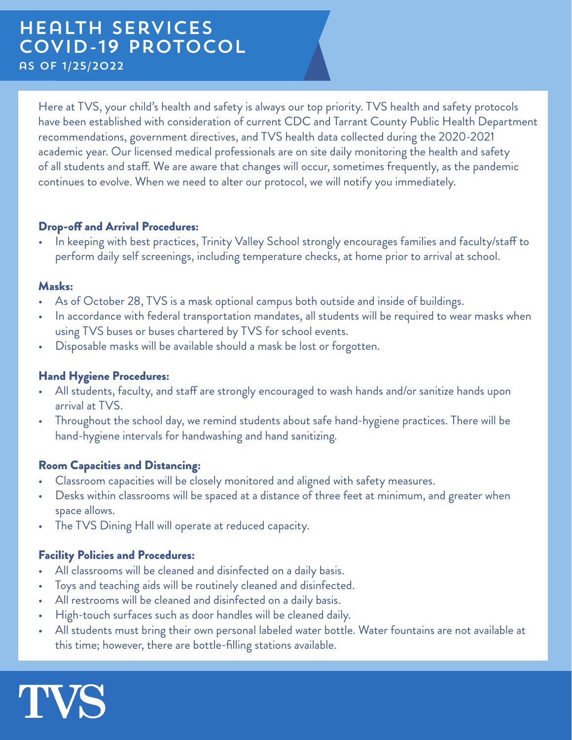Here at TVS, your child's health and safety is always our top priority. TVS health and safety protocols have been established with consideration of current CDC and Tarrant County Public Health Department recommendations, government directives, and TVS health data collected during the 2020-2021 academic year. Our licensed medical professionals are on site daily monitoring the health and safety of all students and staff. We are aware that changes will occur, sometimes frequently, as the pandemic continues to evolve. When we need to alter our protocol, we will notify you immediately.

# Drop-off and Arrival Procedures:

• In keeping with best practices, Trinity Valley School strongly encourages families and faculty/staff to perform daily self screenings, including temperature checks, at home prior to arrival at school.

#### Masks:

- As of October 28, TVS is a mask optional campus both outside and inside of buildings.
- In accordance with federal transportation mandates, all students will be required to wear masks when using TVS buses or buses chartered by TVS for school events.
- Disposable masks will be available should a mask be lost or forgotten.

### Hand Hygiene Procedures:

- All students, faculty, and staff are strongly encouraged to wash hands and/or sanitize hands upon arrival at TVS.
- Throughout the school day, we remind students about safe hand-hygiene practices. There will be hand-hygiene intervals for handwashing and hand sanitizing.

# Room Capacities and Distancing:

- Classroom capacities will be closely monitored and aligned with safety measures.
- Desks within classrooms will be spaced at a distance of three feet at minimum, and greater when space allows.
- The TVS Dining Hall will operate at reduced capacity.

# Facility Policies and Procedures:

- All classrooms will be cleaned and disinfected on a daily basis.
- Toys and teaching aids will be routinely cleaned and disinfected.
- All restrooms will be cleaned and disinfected on a daily basis.
- High-touch surfaces such as door handles will be cleaned daily.
- All students must bring their own personal labeled water bottle. Water fountains are not available at this time; however, there are bottle-filling stations available.

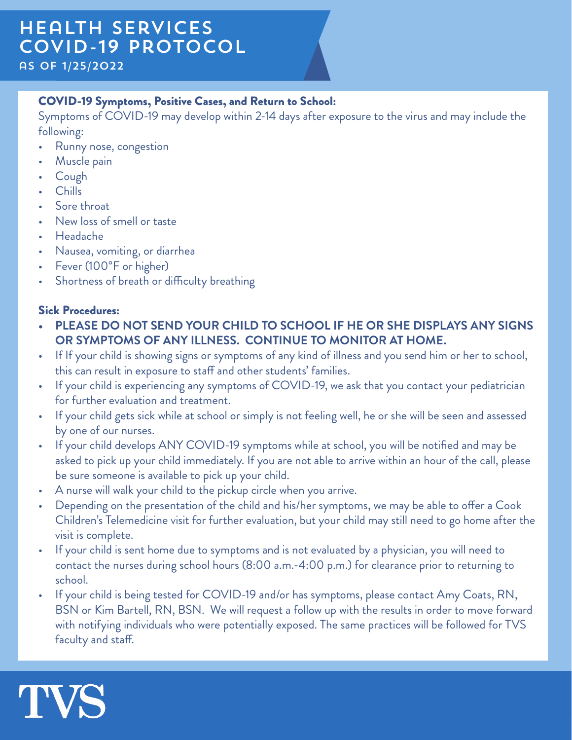# health services covid-19 protocol

# COVID-19 Symptoms, Positive Cases, and Return to School:

Symptoms of COVID-19 may develop within 2-14 days after exposure to the virus and may include the following:

- Runny nose, congestion
- Muscle pain
- Cough
- Chills
- Sore throat
- New loss of smell or taste
- Headache
- Nausea, vomiting, or diarrhea
- Fever (100°F or higher)
- Shortness of breath or difficulty breathing

# Sick Procedures:

- **• PLEASE DO NOT SEND YOUR CHILD TO SCHOOL IF HE OR SHE DISPLAYS ANY SIGNS OR SYMPTOMS OF ANY ILLNESS. CONTINUE TO MONITOR AT HOME.**
- If If your child is showing signs or symptoms of any kind of illness and you send him or her to school, this can result in exposure to staff and other students' families.
- If your child is experiencing any symptoms of COVID-19, we ask that you contact your pediatrician for further evaluation and treatment.
- If your child gets sick while at school or simply is not feeling well, he or she will be seen and assessed by one of our nurses.
- If your child develops ANY COVID-19 symptoms while at school, you will be notified and may be asked to pick up your child immediately. If you are not able to arrive within an hour of the call, please be sure someone is available to pick up your child.
- A nurse will walk your child to the pickup circle when you arrive.
- Depending on the presentation of the child and his/her symptoms, we may be able to offer a Cook Children's Telemedicine visit for further evaluation, but your child may still need to go home after the visit is complete.
- If your child is sent home due to symptoms and is not evaluated by a physician, you will need to contact the nurses during school hours (8:00 a.m.-4:00 p.m.) for clearance prior to returning to school.
- If your child is being tested for COVID-19 and/or has symptoms, please contact Amy Coats, RN, BSN or Kim Bartell, RN, BSN. We will request a follow up with the results in order to move forward with notifying individuals who were potentially exposed. The same practices will be followed for TVS faculty and staff.

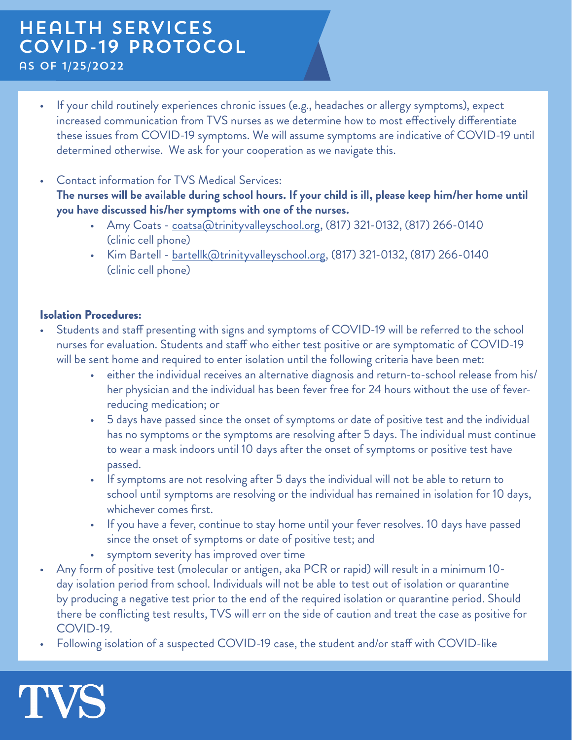- If your child routinely experiences chronic issues (e.g., headaches or allergy symptoms), expect increased communication from TVS nurses as we determine how to most effectively differentiate these issues from COVID-19 symptoms. We will assume symptoms are indicative of COVID-19 until determined otherwise. We ask for your cooperation as we navigate this.
- Contact information for TVS Medical Services: **The nurses will be available during school hours. If your child is ill, please keep him/her home until you have discussed his/her symptoms with one of the nurses.**
	- Amy Coats - [coatsa@trinityvalleyschool.org,](mailto:coatsa@trinityvalleyschool.org) (817) 321-0132, (817) 266-0140 (clinic cell phone)
	- Kim Bartell - [bartellk@trinityvalleyschool.org,](mailto:bartellk@trinityvalleyschool.org) (817) 321-0132, (817) 266-0140 (clinic cell phone)

# Isolation Procedures:

- Students and staff presenting with signs and symptoms of COVID-19 will be referred to the school nurses for evaluation. Students and staff who either test positive or are symptomatic of COVID-19 will be sent home and required to enter isolation until the following criteria have been met:
	- either the individual receives an alternative diagnosis and return-to-school release from his/ her physician and the individual has been fever free for 24 hours without the use of feverreducing medication; or
	- 5 days have passed since the onset of symptoms or date of positive test and the individual has no symptoms or the symptoms are resolving after 5 days. The individual must continue to wear a mask indoors until 10 days after the onset of symptoms or positive test have passed.
	- If symptoms are not resolving after 5 days the individual will not be able to return to school until symptoms are resolving or the individual has remained in isolation for 10 days, whichever comes first.
	- If you have a fever, continue to stay home until your fever resolves. 10 days have passed since the onset of symptoms or date of positive test; and
	- symptom severity has improved over time
- Any form of positive test (molecular or antigen, aka PCR or rapid) will result in a minimum 10 day isolation period from school. Individuals will not be able to test out of isolation or quarantine by producing a negative test prior to the end of the required isolation or quarantine period. Should there be conflicting test results, TVS will err on the side of caution and treat the case as positive for COVID-19.
- Following isolation of a suspected COVID-19 case, the student and/or staff with COVID-like

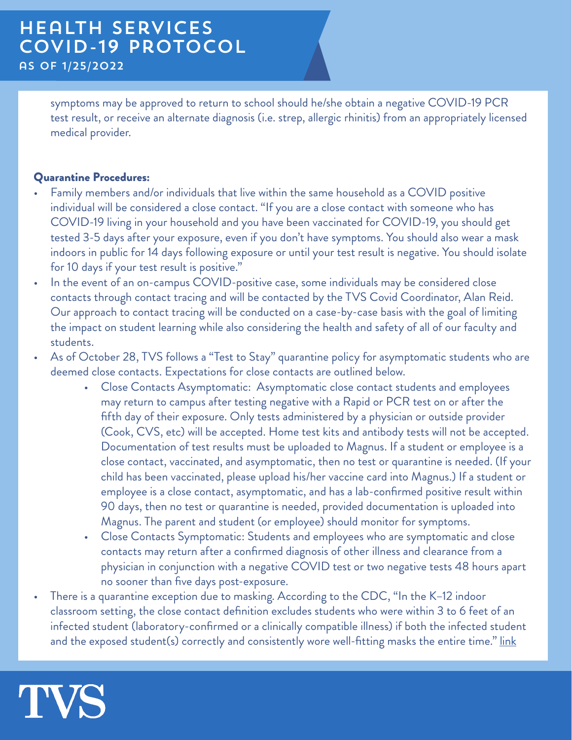symptoms may be approved to return to school should he/she obtain a negative COVID-19 PCR test result, or receive an alternate diagnosis (i.e. strep, allergic rhinitis) from an appropriately licensed medical provider.

#### Quarantine Procedures:

- Family members and/or individuals that live within the same household as a COVID positive individual will be considered a close contact. "If you are a close contact with someone who has COVID-19 living in your household and you have been vaccinated for COVID-19, you should get tested 3-5 days after your exposure, even if you don't have symptoms. You should also wear a mask indoors in public for 14 days following exposure or until your test result is negative. You should isolate for 10 days if your test result is positive."
- In the event of an on-campus COVID-positive case, some individuals may be considered close contacts through contact tracing and will be contacted by the TVS Covid Coordinator, Alan Reid. Our approach to contact tracing will be conducted on a case-by-case basis with the goal of limiting the impact on student learning while also considering the health and safety of all of our faculty and students.
- As of October 28, TVS follows a "Test to Stay" quarantine policy for asymptomatic students who are deemed close contacts. Expectations for close contacts are outlined below.
	- Close Contacts Asymptomatic: Asymptomatic close contact students and employees may return to campus after testing negative with a Rapid or PCR test on or after the fifth day of their exposure. Only tests administered by a physician or outside provider (Cook, CVS, etc) will be accepted. Home test kits and antibody tests will not be accepted. Documentation of test results must be uploaded to Magnus. If a student or employee is a close contact, vaccinated, and asymptomatic, then no test or quarantine is needed. (If your child has been vaccinated, please upload his/her vaccine card into Magnus.) If a student or employee is a close contact, asymptomatic, and has a lab-confirmed positive result within 90 days, then no test or quarantine is needed, provided documentation is uploaded into Magnus. The parent and student (or employee) should monitor for symptoms.
	- Close Contacts Symptomatic: Students and employees who are symptomatic and close contacts may return after a confirmed diagnosis of other illness and clearance from a physician in conjunction with a negative COVID test or two negative tests 48 hours apart no sooner than five days post-exposure.
- There is a quarantine exception due to masking. According to the CDC, "In the K–12 indoor classroom setting, the close contact definition excludes students who were within 3 to 6 feet of an infected student (laboratory-confirmed or a clinically compatible illness) if both the infected student and the exposed student(s) correctly and consistently wore well-fitting masks the entire time." [link](https://www.cdc.gov/coronavirus/2019-ncov/php/contact-tracing/contact-tracing-plan/appendix.html#contact)

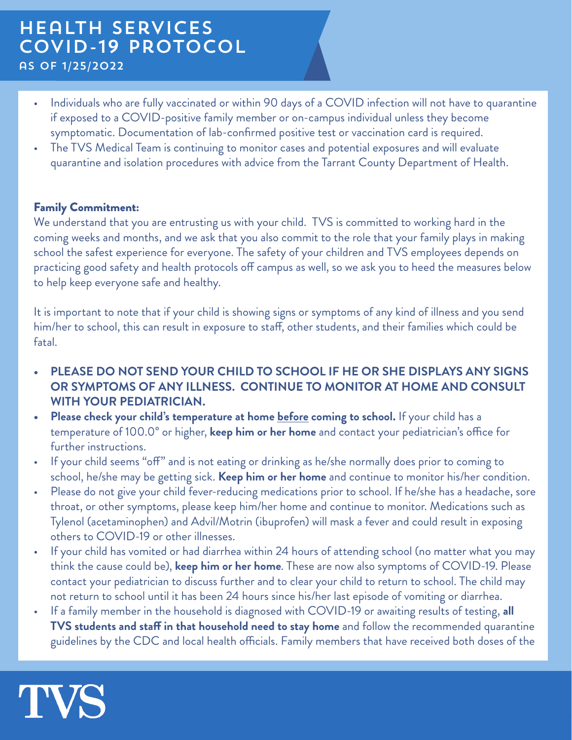- Individuals who are fully vaccinated or within 90 days of a COVID infection will not have to quarantine if exposed to a COVID-positive family member or on-campus individual unless they become symptomatic. Documentation of lab-confirmed positive test or vaccination card is required.
- The TVS Medical Team is continuing to monitor cases and potential exposures and will evaluate quarantine and isolation procedures with advice from the Tarrant County Department of Health.

### Family Commitment:

We understand that you are entrusting us with your child. TVS is committed to working hard in the coming weeks and months, and we ask that you also commit to the role that your family plays in making school the safest experience for everyone. The safety of your children and TVS employees depends on practicing good safety and health protocols off campus as well, so we ask you to heed the measures below to help keep everyone safe and healthy.

It is important to note that if your child is showing signs or symptoms of any kind of illness and you send him/her to school, this can result in exposure to staff, other students, and their families which could be fatal.

- **• PLEASE DO NOT SEND YOUR CHILD TO SCHOOL IF HE OR SHE DISPLAYS ANY SIGNS OR SYMPTOMS OF ANY ILLNESS. CONTINUE TO MONITOR AT HOME AND CONSULT WITH YOUR PEDIATRICIAN.**
- **Please check your child's temperature at home before coming to school.** If your child has a temperature of 100.0° or higher, **keep him or her home** and contact your pediatrician's office for further instructions.
- If your child seems "off" and is not eating or drinking as he/she normally does prior to coming to school, he/she may be getting sick. **Keep him or her home** and continue to monitor his/her condition.
- Please do not give your child fever-reducing medications prior to school. If he/she has a headache, sore throat, or other symptoms, please keep him/her home and continue to monitor. Medications such as Tylenol (acetaminophen) and Advil/Motrin (ibuprofen) will mask a fever and could result in exposing others to COVID-19 or other illnesses.
- If your child has vomited or had diarrhea within 24 hours of attending school (no matter what you may think the cause could be), **keep him or her home**. These are now also symptoms of COVID-19. Please contact your pediatrician to discuss further and to clear your child to return to school. The child may not return to school until it has been 24 hours since his/her last episode of vomiting or diarrhea.
- If a family member in the household is diagnosed with COVID-19 or awaiting results of testing, **all TVS students and staff in that household need to stay home** and follow the recommended quarantine guidelines by the CDC and local health officials. Family members that have received both doses of the